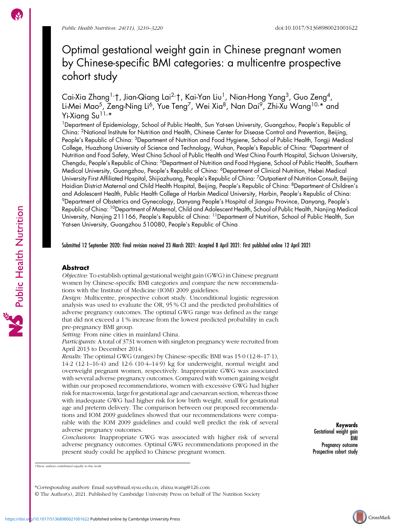# Optimal gestational weight gain in Chinese pregnant women by Chinese-specific BMI categories: a multicentre prospective cohort study

Cai-Xia Zhang<sup>1,</sup>†, Jian-Qiang Lai<sup>2,</sup>†, Kai-Yan Liu<sup>1</sup>, Nian-Hong Yang<sup>3</sup>, Guo Zeng<sup>4</sup>, Li-Mei Mao<sup>5</sup>, Zeng-Ning Li<sup>6</sup>, Yue Teng<sup>7</sup>, Wei Xia<sup>8</sup>, Nan Dai<sup>9</sup>, Zhi-Xu Wang<sup>10,</sup>\* and Yi-Xiang Su<sup>11,</sup>\*

<sup>1</sup>Department of Epidemiology, School of Public Health, Sun Yat-sen University, Guangzhou, People's Republic of China: 2National Institute for Nutrition and Health, Chinese Center for Disease Control and Prevention, Beijing, People's Republic of China: 3Department of Nutrition and Food Hygiene, School of Public Health, Tongji Medical College, Huazhong University of Science and Technology, Wuhan, People's Republic of China: 4Department of Nutrition and Food Safety, West China School of Public Health and West China Fourth Hospital, Sichuan University, Chengdu, People's Republic of China: 5Department of Nutrition and Food Hygiene, School of Public Health, Southern Medical University, Guangzhou, People's Republic of China: <sup>6</sup>Department of Clinical Nutrition, Hebei Medical University First Affiliated Hospital, Shijiazhuang, People's Republic of China: 7Outpatient of Nutrition Consult, Beijing Haidian District Maternal and Child Health Hospital, Beijing, People's Republic of China: 8Department of Children's and Adolescent Health, Public Health College of Harbin Medical University, Harbin, People's Republic of China: 9Department of Obstetrics and Gynecology, Danyang People's Hospital of Jiangsu Province, Danyang, People's Republic of China: 10Department of Maternal, Child and Adolescent Health, School of Public Health, Nanjing Medical University, Nanjing 211166, People's Republic of China: <sup>11</sup>Department of Nutrition, School of Public Health, Sun Yat-sen University, Guangzhou 510080, People's Republic of China

Submitted 12 September 2020: Final revision received 23 March 2021: Accepted 8 April 2021: First published online 12 April 2021

# Abstract

Objective: To establish optimal gestational weight gain (GWG) in Chinese pregnant women by Chinese-specific BMI categories and compare the new recommendations with the Institute of Medicine (IOM) 2009 guidelines.

Design: Multicentre, prospective cohort study. Unconditional logistic regression analysis was used to evaluate the OR, 95 % CI and the predicted probabilities of adverse pregnancy outcomes. The optimal GWG range was defined as the range that did not exceed a 1 % increase from the lowest predicted probability in each pre-pregnancy BMI group.

Setting: From nine cities in mainland China.

Participants: A total of 3731 women with singleton pregnancy were recruited from April 2013 to December 2014.

Results: The optimal GWG (ranges) by Chinese-specific BMI was 15·0 (12·8–17·1), 14·2 (12·1–16·4) and 12·6 (10·4–14·9) kg for underweight, normal weight and overweight pregnant women, respectively. Inappropriate GWG was associated with several adverse pregnancy outcomes. Compared with women gaining weight within our proposed recommendations, women with excessive GWG had higher risk for macrosomia, large for gestational age and caesarean section, whereas those with inadequate GWG had higher risk for low birth weight, small for gestational age and preterm delivery. The comparison between our proposed recommendations and IOM 2009 guidelines showed that our recommendations were comparable with the IOM 2009 guidelines and could well predict the risk of several adverse pregnancy outcomes.

Conclusions: Inappropriate GWG was associated with higher risk of several adverse pregnancy outcomes. Optimal GWG recommendations proposed in the present study could be applied to Chinese pregnant women.

Keywords Gestational weight gain BMI Pregnancy outcome Prospective cohort study

© The Author(s), 2021. Published by Cambridge University Press on behalf of The Nutrition Society

Public Health Nutrition

<sup>†</sup>These authors contributed equally to this work.

<sup>\*</sup>Corresponding authors: Email [suyx@mail.sysu.edu.cn;](mailto:suyx@mail.sysu.edu.cn) [zhixu.wang@126.com](mailto:zhixu.wang@126.com)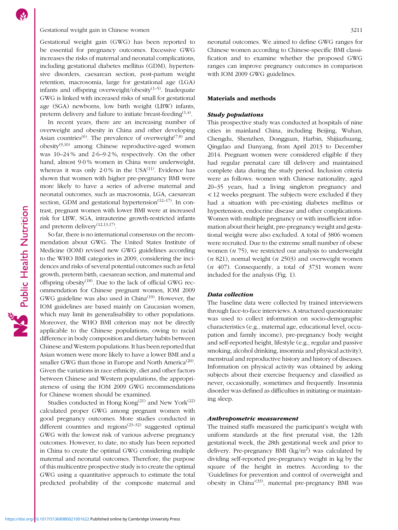# Gestational weight gain in Chinese women 3211

Gestational weight gain (GWG) has been reported to be essential for pregnancy outcomes. Excessive GWG increases the risks of maternal and neonatal complications, including gestational diabetes mellitus (GDM), hypertensive disorders, caesarean section, post-partum weight retention, macrosomia, large for gestational age (LGA) infants and offspring overweight/obesity $(1-5)$  $(1-5)$  $(1-5)$  $(1-5)$ . Inadequate GWG is linked with increased risks of small for gestational age (SGA) newborns, low birth weight (LBW) infants, preterm delivery and failure to initiate breast-feeding<sup> $(1,4)$  $(1,4)$ </sup>.

In recent years, there are an increasing number of overweight and obesity in China and other developing Asian countries<sup>([6\)](#page-9-0)</sup>. The prevalence of overweight<sup> $(7,8)$  $(7,8)$ </sup> and  $obeisty<sup>(9,10)</sup>$  $obeisty<sup>(9,10)</sup>$  $obeisty<sup>(9,10)</sup>$  $obeisty<sup>(9,10)</sup>$  $obeisty<sup>(9,10)</sup>$  among Chinese reproductive-aged women was 10–24 % and 2·6–9·2 %, respectively. On the other hand, almost 9·0 % women in China were underweight, whereas it was only  $2.0\%$  in the USA<sup>([11](#page-9-0))</sup>. Evidence has shown that women with higher pre-pregnancy BMI were more likely to have a series of adverse maternal and neonatal outcomes, such as macrosomia, LGA, caesarean section, GDM and gestational hypertension<sup> $(12-17)$  $(12-17)$  $(12-17)$ </sup>. In contrast, pregnant women with lower BMI were at increased risk for LBW, SGA, intrauterine growth-restricted infants and preterm delivery<sup> $(12,13,17)$  $(12,13,17)$  $(12,13,17)$  $(12,13,17)$ </sup>.

So far, there is no international consensus on the recommendation about GWG. The United States Institute of Medicine (IOM) revised new GWG guidelines according to the WHO BMI categories in 2009, considering the incidences and risks of several potential outcomes such as fetal growth, preterm birth, caesarean section, and maternal and offspring obesity<sup>([18](#page-9-0))</sup>. Due to the lack of official GWG recommendation for Chinese pregnant women, IOM 2009 GWG guideline was also used in China<sup>[\(19](#page-9-0))</sup>. However, the IOM guidelines are based mainly on Caucasian women, which may limit its generalisability to other populations. Moreover, the WHO BMI criterion may not be directly applicable to the Chinese populations, owing to racial difference in body composition and dietary habits between Chinese and Western populations. It has been reported that Asian women were more likely to have a lower BMI and a smaller GWG than those in Europe and North America<sup>([20](#page-9-0))</sup>. Given the variations in race ethnicity, diet and other factors between Chinese and Western populations, the appropriateness of using the IOM 2009 GWG recommendations for Chinese women should be examined.

Studies conducted in Hong Kong $(21)$  $(21)$  and New York $(22)$ calculated proper GWG among pregnant women with good pregnancy outcomes. More studies conducted in different countries and regions<sup> $(23-32)$  $(23-32)$  $(23-32)$  $(23-32)$  $(23-32)$ </sup> suggested optimal GWG with the lowest risk of various adverse pregnancy outcomes. However, to date, no study has been reported in China to create the optimal GWG considering multiple maternal and neonatal outcomes. Therefore, the purpose of this multicentre prospective study is to create the optimal GWG using a quantitative approach to estimate the total predicted probability of the composite maternal and neonatal outcomes. We aimed to define GWG ranges for Chinese women according to Chinese-specific BMI classification and to examine whether the proposed GWG ranges can improve pregnancy outcomes in comparison with IOM 2009 GWG guidelines.

# Materials and methods

# Study populations

This prospective study was conducted at hospitals of nine cities in mainland China, including Beijing, Wuhan, Chengdu, Shenzhen, Dongguan, Harbin, Shijiazhuang, Qingdao and Danyang, from April 2013 to December 2014. Pregnant women were considered eligible if they had regular prenatal care till delivery and maintained complete data during the study period. Inclusion criteria were as follows: women with Chinese nationality, aged 20–35 years, had a living singleton pregnancy and < 12 weeks pregnant. The subjects were excluded if they had a situation with pre-existing diabetes mellitus or hypertension, endocrine disease and other complications. Women with multiple pregnancy or with insufficient information about their height, pre-pregnancy weight and gestational weight were also excluded. A total of 3806 women were recruited. Due to the extreme small number of obese women  $(n 75)$ , we restricted our analysis to underweight  $(n 821)$ , normal weight  $(n 2503)$  and overweight women  $(n, 407)$ . Consequently, a total of 3731 women were included for the analysis (Fig. [1\)](#page-2-0).

#### Data collection

The baseline data were collected by trained interviewers through face-to-face interviews. A structured questionnaire was used to collect information on socio-demographic characteristics (e.g., maternal age, educational level, occupation and family income), pre-pregnancy body weight and self-reported height, lifestyle (e.g., regular and passive smoking, alcohol drinking, insomnia and physical activity), menstrual and reproductive history and history of diseases. Information on physical activity was obtained by asking subjects about their exercise frequency and classified as never, occasionally, sometimes and frequently. Insomnia disorder was defined as difficulties in initiating or maintaining sleep.

### Anthropometric measurement

The trained staffs measured the participant's weight with uniform standards at the first prenatal visit, the 12th gestational week, the 28th gestational week and prior to delivery. Pre-pregnancy BMI  $(kg/m^2)$  was calculated by dividing self-reported pre-pregnancy weight in kg by the square of the height in metres. According to the 'Guidelines for prevention and control of overweight and obesity in China<sup>,([33\)](#page-10-0)</sup>, maternal pre-pregnancy BMI was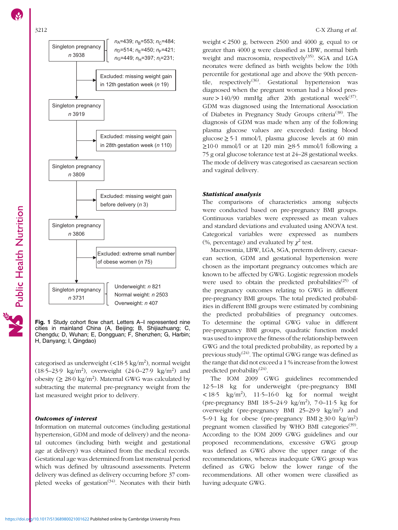<span id="page-2-0"></span>

Fig. 1 Study cohort flow chart. Letters A–I represented nine cities in mainland China (A, Beijing; B, Shijiazhuang; C, Chengdu; D, Wuhan; E, Dongguan; F, Shenzhen; G, Harbin; H, Danyang; I, Qingdao)

categorised as underweight (<18.5 kg/m<sup>2</sup>), normal weight (18·5–23·9 kg/m<sup>2</sup> ), overweight (24·0–27·9 kg/m2 ) and obesity ( $\geq 28.0 \text{ kg/m}^2$ ). Maternal GWG was calculated by subtracting the maternal pre-pregnancy weight from the last measured weight prior to delivery.

### Outcomes of interest

Information on maternal outcomes (including gestational hypertension, GDM and mode of delivery) and the neonatal outcomes (including birth weight and gestational age at delivery) was obtained from the medical records. Gestational age was determined from last menstrual period which was defined by ultrasound assessments. Preterm delivery was defined as delivery occurring before 37 completed weeks of gestation<sup> $(34)$ </sup>. Neonates with their birth

weight < 2500 g, between 2500 and 4000 g, equal to or greater than 4000 g were classified as LBW, normal birth weight and macrosomia, respectively<sup>[\(35\)](#page-10-0)</sup>. SGA and LGA neonates were defined as birth weights below the 10th percentile for gestational age and above the 90th percen-tile, respectively<sup>([36](#page-10-0))</sup>. Gestational hypertension was diagnosed when the pregnant woman had a blood pressure >  $140/90$  mmHg after 20th gestational week<sup>[\(37\)](#page-10-0)</sup>. GDM was diagnosed using the International Association of Diabetes in Pregnancy Study Groups criteria<sup>[\(38](#page-10-0))</sup>. The diagnosis of GDM was made when any of the following plasma glucose values are exceeded: fasting blood glucose ≥ 5·1 mmol/l, plasma glucose levels at 60 min  $\geq$ 10.0 mmol/l or at 120 min  $\geq$ 8.5 mmol/l following a 75 g oral glucose tolerance test at 24–28 gestational weeks. The mode of delivery was categorised as caesarean section and vaginal delivery.

### Statistical analysis

The comparisons of characteristics among subjects were conducted based on pre-pregnancy BMI groups. Continuous variables were expressed as mean values and standard deviations and evaluated using ANOVA test. Categorical variables were expressed as numbers (%, percentage) and evaluated by  $\chi^2$  test.

Macrosomia, LBW, LGA, SGA, preterm delivery, caesarean section, GDM and gestational hypertension were chosen as the important pregnancy outcomes which are known to be affected by GWG. Logistic regression models were used to obtain the predicted probabilities<sup> $(25)$  $(25)$  $(25)$ </sup> of the pregnancy outcomes relating to GWG in different pre-pregnancy BMI groups. The total predicted probabilities in different BMI groups were estimated by combining the predicted probabilities of pregnancy outcomes. To determine the optimal GWG value in different pre-pregnancy BMI groups, quadratic function model was used to improve the fitness of the relationship between GWG and the total predicted probability, as reported by a previous study<sup>[\(24\)](#page-10-0)</sup>. The optimal GWG range was defined as the range that did not exceed a 1 % increase from the lowest predicted probability<sup>([24](#page-10-0))</sup>.

The IOM 2009 GWG guidelines recommended 12·5–18 kg for underweight (pre-pregnancy BMI  $\langle 18.5 \text{ kg/m}^2 \rangle$ , 11.5–16.0 kg for normal weight (pre-pregnancy BMI 18·5–24·9 kg/m<sup>2</sup> ), 7·0–11·5 kg for overweight (pre-pregnancy BMI 25-29.9 kg/m<sup>2</sup>) and 5–9·1 kg for obese (pre-pregnancy BMI $\geq$  30·0 kg/m<sup>2</sup>) pregnant women classified by WHO BMI categories<sup>[\(39\)](#page-10-0)</sup>. According to the IOM 2009 GWG guidelines and our proposed recommendations, excessive GWG group was defined as GWG above the upper range of the recommendations, whereas inadequate GWG group was defined as GWG below the lower range of the recommendations. All other women were classified as having adequate GWG.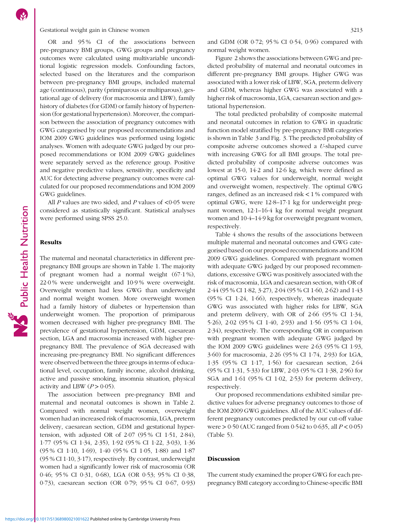#### Gestational weight gain in Chinese women 3213

OR and 95 % CI of the associations between pre-pregnancy BMI groups, GWG groups and pregnancy outcomes were calculated using multivariable unconditional logistic regression models. Confounding factors, selected based on the literatures and the comparison between pre-pregnancy BMI groups, included maternal age (continuous), parity (primiparous or multiparous), gestational age of delivery (for macrosomia and LBW), family history of diabetes (for GDM) or family history of hypertension (for gestational hypertension). Moreover, the comparison between the association of pregnancy outcomes with GWG categorised by our proposed recommendations and IOM 2009 GWG guidelines was performed using logistic analyses. Women with adequate GWG judged by our proposed recommendations or IOM 2009 GWG guidelines were separately served as the reference group. Positive and negative predictive values, sensitivity, specificity and AUC for detecting adverse pregnancy outcomes were calculated for our proposed recommendations and IOM 2009 GWG guidelines.

All  $P$  values are two sided, and  $P$  values of <0.05 were considered as statistically significant. Statistical analyses were performed using SPSS 25.0.

# Results

Public Health Nutrition

The maternal and neonatal characteristics in different prepregnancy BMI groups are shown in Table [1](#page-4-0). The majority of pregnant women had a normal weight (67·1 %), 22·0 % were underweight and 10·9 % were overweight. Overweight women had less GWG than underweight and normal weight women. More overweight women had a family history of diabetes or hypertension than underweight women. The proportion of primiparous women decreased with higher pre-pregnancy BMI. The prevalence of gestational hypertension, GDM, caesarean section, LGA and macrosomia increased with higher prepregnancy BMI. The prevalence of SGA decreased with increasing pre-pregnancy BMI. No significant differences were observed between the three groups in terms of educational level, occupation, family income, alcohol drinking, active and passive smoking, insomnia situation, physical activity and LBW  $(P > 0.05)$ .

The association between pre-pregnancy BMI and maternal and neonatal outcomes is shown in Table [2.](#page-5-0) Compared with normal weight women, overweight women had an increased risk of macrosomia, LGA, preterm delivery, caesarean section, GDM and gestational hypertension, with adjusted OR of 2·07 (95 % CI 1·51, 2·84), 1·77 (95 % CI 1·34, 2·35), 1·92 (95 % CI 1·22, 3·03), 1·36 (95 % CI 1·10, 1·69), 1·40 (95 % CI 1·05, 1·88) and 1·87 (95 % CI 1·10, 3·17), respectively. By contrast, underweight women had a significantly lower risk of macrosomia (OR 0·46; 95 % CI 0·31, 0·68), LGA (OR 0·53; 95 % CI 0·38, 0·73), caesarean section (OR 0·79; 95 % CI 0·67, 0·93) and GDM (OR 0·72; 95 % CI 0·54, 0·96) compared with normal weight women.

Figure [2](#page-5-0) shows the associations between GWG and predicted probability of maternal and neonatal outcomes in different pre-pregnancy BMI groups. Higher GWG was associated with a lower risk of LBW, SGA, preterm delivery and GDM, whereas higher GWG was associated with a higher risk of macrosomia, LGA, caesarean section and gestational hypertension.

The total predicted probability of composite maternal and neonatal outcomes in relation to GWG in quadratic function model stratified by pre-pregnancy BMI categories is shown in Table [3](#page-5-0) and Fig. [3](#page-6-0). The predicted probability of composite adverse outcomes showed a U-shaped curve with increasing GWG for all BMI groups. The total predicted probability of composite adverse outcomes was lowest at 15·0, 14·2 and 12·6 kg, which were defined as optimal GWG values for underweight, normal weight and overweight women, respectively. The optimal GWG ranges, defined as an increased risk  $\lt 1\%$  compared with optimal GWG, were 12·8–17·1 kg for underweight pregnant women, 12·1–16·4 kg for normal weight pregnant women and 10·4–14·9 kg for overweight pregnant women, respectively.

Table [4](#page-7-0) shows the results of the associations between multiple maternal and neonatal outcomes and GWG categorised based on our proposed recommendations and IOM 2009 GWG guidelines. Compared with pregnant women with adequate GWG judged by our proposed recommendations, excessive GWG was positively associated with the risk of macrosomia, LGA and caesarean section, with OR of 2·44 (95 % CI 1·82, 3·27), 2·04 (95 % CI 1·60, 2·62) and 1·43 (95 % CI 1·24, 1·66), respectively, whereas inadequate GWG was associated with higher risks for LBW, SGA and preterm delivery, with OR of 2·66 (95 % CI 1·34, 5·26), 2·02 (95 % CI 1·40, 2·93) and 1·56 (95 % CI 1·04, 2·34), respectively. The corresponding OR in comparison with pregnant women with adequate GWG judged by the IOM 2009 GWG guidelines were 2·63 (95 % CI 1·93, 3·60) for macrosomia, 2·26 (95 % CI 1·74, 2·93) for LGA, 1·35 (95 % CI 1·17, 1·56) for caesarean section, 2·64 (95 % CI 1·31, 5·33) for LBW, 2·03 (95 % CI 1·38, 2·96) for SGA and 1·61 (95 % CI 1·02, 2·53) for preterm delivery, respectively.

Our proposed recommendations exhibited similar predictive values for adverse pregnancy outcomes to those of the IOM 2009 GWG guidelines. All of the AUC values of different pregnancy outcomes predicted by our cut-off value were  $> 0.50$  (AUC ranged from 0.542 to 0.635, all  $P < 0.05$ ) (Table [5](#page-8-0)).

#### Discussion

The current study examined the proper GWG for each prepregnancy BMI category according to Chinese-specific BMI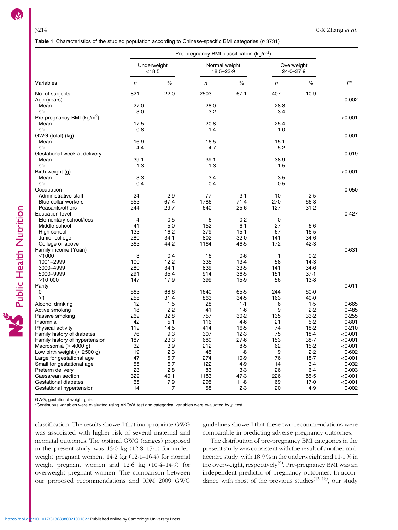<span id="page-4-0"></span>Table 1 Characteristics of the studied population according to Chinese-specific BMI categories (n 3731)

|                                          | Pre-pregnancy BMI classification (kg/m <sup>2</sup> ) |                       |                                |               |                             |                |                   |  |
|------------------------------------------|-------------------------------------------------------|-----------------------|--------------------------------|---------------|-----------------------------|----------------|-------------------|--|
|                                          |                                                       | Underweight<br>< 18.5 | Normal weight<br>$18.5 - 23.9$ |               | Overweight<br>$24.0 - 27.9$ |                |                   |  |
| Variables                                | n                                                     | $\%$                  | n                              | $\%$          | n                           | $\%$           | $P^*$             |  |
| No. of subjects                          | 821                                                   | 22.0                  | 2503                           | 67.1          | 407                         | 10.9           |                   |  |
| Age (years)                              |                                                       |                       |                                |               |                             |                | 0.002             |  |
| Mean                                     | 27.0                                                  |                       | 28.0                           |               | 28.8                        |                |                   |  |
| <b>SD</b>                                | $3-0$                                                 |                       | 3.2                            |               | 3.4                         |                |                   |  |
| Pre-pregnancy BMI (kg/m <sup>2</sup> )   |                                                       |                       |                                |               |                             |                | < 0.001           |  |
| Mean                                     | 17.5                                                  |                       | 20.8                           |               | 25.4                        |                |                   |  |
| <b>SD</b>                                | 0.8                                                   |                       | 1.4                            |               | $1-0$                       |                |                   |  |
| GWG (total) (kg)                         | 16.9                                                  |                       | $16-5$                         |               | $15-1$                      |                | 0.001             |  |
| Mean                                     | 4.4                                                   |                       | 4.7                            |               | 5.2                         |                |                   |  |
| SD                                       |                                                       |                       |                                |               |                             |                |                   |  |
| Gestational week at delivery             |                                                       |                       |                                |               |                             |                | 0.019             |  |
| Mean<br><b>SD</b>                        | 39.1<br>1.3                                           |                       | 39.1<br>1.3                    |               | 38.9<br>1.5                 |                |                   |  |
|                                          |                                                       |                       |                                |               |                             |                | < 0.001           |  |
| Birth weight (g)                         | $3-3$                                                 |                       | 3.4                            |               | 3.5                         |                |                   |  |
| Mean                                     | 0.4                                                   |                       | 0.4                            |               | 0.5                         |                |                   |  |
| SD                                       |                                                       |                       |                                |               |                             |                |                   |  |
| Occupation                               | 24                                                    | 2.9                   | 77                             | $3-1$         | 10                          | 2.5            | 0.050             |  |
| Administrative staff                     |                                                       | 67.4                  |                                | 71.4          |                             |                |                   |  |
| <b>Blue-collar workers</b>               | 553                                                   | 29.7                  | 1786<br>640                    | 25.6          | 270<br>127                  | 66.3<br>31.2   |                   |  |
| Peasants/others                          | 244                                                   |                       |                                |               |                             |                | 0.427             |  |
| <b>Education level</b>                   |                                                       |                       | 6                              | 0.2           | $\mathbf 0$                 |                |                   |  |
| Elementary school/less                   | 4<br>41                                               | 0.5                   |                                |               |                             |                |                   |  |
| Middle school                            |                                                       | $5-0$                 | 152                            | $6 - 1$       | 27                          | $6-6$          |                   |  |
| High school                              | 133                                                   | 16.2                  | 379                            | 15.1          | 67                          | $16-5$         |                   |  |
| Junior college                           | 280                                                   | 34.1                  | 802                            | 32.0          | 141                         | $34-6$         |                   |  |
| College or above                         | 363                                                   | 44.2                  | 1164                           | 46.5          | 172                         | 42.3           |                   |  |
| Family income (Yuan)                     |                                                       |                       |                                |               |                             |                | 0.631             |  |
| $≤1000$                                  | 3                                                     | 0.4                   | 16                             | 0.6           | $\mathbf{1}$                | 0.2            |                   |  |
| 1001-2999                                | 100                                                   | 12.2                  | 335                            | $13-4$        | 58                          | 14.3           |                   |  |
| 3000-4999                                | 280                                                   | 34.1                  | 839                            | 33.5          | 141                         | $34-6$         |                   |  |
| 5000-9999                                | 291                                                   | 35.4                  | 914                            | 36.5          | 151                         | 37.1           |                   |  |
| >10000                                   | 147                                                   | 17.9                  | 399                            | 15.9          | 56                          | $13-8$         |                   |  |
| Parity                                   |                                                       |                       |                                |               |                             |                | 0.011             |  |
| 0                                        | 563<br>258                                            | 68.6                  | 1640<br>863                    | 65.5<br>34.5  | 244                         | $60-0$<br>40.0 |                   |  |
| $\geq$ 1                                 |                                                       | 31.4                  |                                |               | 163                         |                |                   |  |
| Alcohol drinking                         | 12                                                    | 1.5                   | 28                             | $1-1$         | 6                           | 1.5            | 0.665             |  |
| Active smoking                           | 18                                                    | 2.2                   | 41                             | 1.6           | 9                           | 2.2            | 0.485             |  |
| Passive smoking                          | 269                                                   | 32.8                  | 757                            | 30.2          | 135                         | 33.2           | 0.255             |  |
| Insomnia                                 | 42<br>119                                             | $5-1$<br>14.5         | 116<br>414                     | 4.6<br>$16-5$ | 21<br>74                    | 5.2<br>18.2    | 0.801<br>0.210    |  |
| Physical activity                        |                                                       | 9.3                   | 307                            | 12.3          | 75                          |                |                   |  |
| Family history of diabetes               | 76                                                    |                       |                                | 27.6          |                             | 18.4           | $<$ 0 $\cdot$ 001 |  |
| Family history of hypertension           | 187                                                   | 23.3                  | 680                            |               | 153                         | $38 - 7$       | $<$ 0.001         |  |
| Macrosomia ( $\geq$ 4000 g)              | 32                                                    | 3.9                   | 212                            | 8.5           | 62                          | 15.2           | < 0.001           |  |
| Low birth weight $(\leq 2500 \text{ g})$ | 19                                                    | 2.3                   | 45                             | 1.8           | 9                           | 2.2            | 0.602             |  |
| Large for gestational age                | 47                                                    | 5.7                   | 274                            | 10.9          | 76                          | 18.7           | < 0.001           |  |
| Small for gestational age                | 55                                                    | $6 - 7$<br>2.8        | 122                            | 4.9           | 14                          | $3-4$<br>6.4   | 0.032             |  |
| Preterm delivery                         | 23                                                    |                       | 83                             | 3.3           | 26                          |                | 0.003             |  |
| Caesarean section                        | 329                                                   | 40.1                  | 1183                           | 47.3          | 226                         | $55-5$         | $<$ 0 $\cdot$ 001 |  |
| Gestational diabetes                     | 65                                                    | 7.9                   | 295                            | 11.8          | 69                          | 17.0           | $<$ 0 $\cdot$ 001 |  |
| Gestational hypertension                 | 14                                                    | 1.7                   | 58                             | 2.3           | 20                          | 4.9            | 0.002             |  |

GWG, gestational weight gain.

\*Continuous variables were evaluated using ANOVA test and categorical variables were evaluated by  $\chi^2$  test.

classification. The results showed that inappropriate GWG was associated with higher risk of several maternal and neonatal outcomes. The optimal GWG (ranges) proposed in the present study was 15·0 kg (12·8–17·1) for underweight pregnant women, 14·2 kg (12·1–16·4) for normal weight pregnant women and 12·6 kg (10·4–14·9) for overweight pregnant women. The comparison between our proposed recommendations and IOM 2009 GWG

guidelines showed that these two recommendations were comparable in predicting adverse pregnancy outcomes.

The distribution of pre-pregnancy BMI categories in the present study was consistent with the result of another multicentre study, with 18·9 % in the underweight and 11·1 % in the overweight, respectively<sup>[\(9](#page-9-0))</sup>. Pre-pregnancy BMI was an independent predictor of pregnancy outcomes. In accordance with most of the previous studies<sup> $(12-16)$  $(12-16)$  $(12-16)$  $(12-16)$  $(12-16)$ </sup>, our study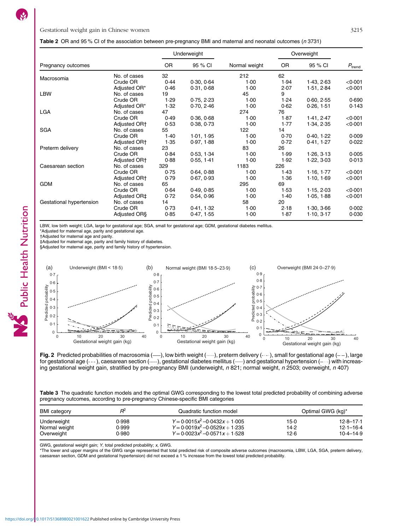### <span id="page-5-0"></span>Table 2 OR and 95 % CI of the association between pre-pregnancy BMI and maternal and neonatal outcomes (<sup>n</sup> 3731)

|                          |                          |           | Underweight |               |           | Overweight |                    |
|--------------------------|--------------------------|-----------|-------------|---------------|-----------|------------|--------------------|
| Pregnancy outcomes       |                          | <b>OR</b> | 95 % CI     | Normal weight | <b>OR</b> | 95 % CI    | $P_{\text{trend}}$ |
| Macrosomia               | No. of cases             | 32        |             | 212           | 62        |            |                    |
|                          | Crude OR                 | 0.44      | 0.30, 0.64  | 1.00          | 1.94      | 1.43, 2.63 | < 0.001            |
|                          | Adjusted OR*             | 0.46      | 0.31, 0.68  | 1.00          | 2.07      | 1.51, 2.84 | < 0.001            |
| <b>LBW</b>               | No. of cases             | 19        |             | 45            | 9         |            |                    |
|                          | Crude OR                 | 1.29      | 0.75, 2.23  | 1.00          | 1.24      | 0.60, 2.55 | 0.690              |
|                          | Adjusted OR*             | 1.32      | 0.70, 2.46  | 1.00          | 0.62      | 0.26, 1.51 | 0.143              |
| LGA                      | No. of cases             | 47        |             | 274           | 76        |            |                    |
|                          | Crude OR                 | 0.49      | 0.36, 0.68  | 1.00          | 1.87      | 1.41, 2.47 | < 0.001            |
|                          | Adjusted OR <sup>+</sup> | 0.53      | 0.38, 0.73  | 1.00          | 1.77      | 1.34, 2.35 | < 0.001            |
| <b>SGA</b>               | No. of cases             | 55        |             | 122           | 14        |            |                    |
|                          | Crude OR                 | 1.40      | 1.01, 1.95  | 1.00          | 0.70      | 0.40, 1.22 | 0.009              |
|                          | Adjusted OR <sup>+</sup> | 1.35      | 0.97, 1.88  | 1.00          | 0.72      | 0.41, 1.27 | 0.022              |
| Preterm delivery         | No. of cases             | 23        |             | 83            | 26        |            |                    |
|                          | Crude OR                 | 0.84      | 0.53, 1.34  | 1.00          | 1.99      | 1.26, 3.13 | 0.005              |
|                          | Adjusted OR <sup>+</sup> | 0.88      | 0.55, 1.41  | 1.00          | 1.92      | 1.22, 3.03 | 0.013              |
| Caesarean section        | No. of cases             | 329       |             | 1183          | 226       |            |                    |
|                          | Crude OR                 | 0.75      | 0.64, 0.88  | 1.00          | 1.43      | 1.16, 1.77 | < 0.001            |
|                          | Adjusted OR <sup>+</sup> | 0.79      | 0.67, 0.93  | 1.00          | 1.36      | 1.10, 1.69 | < 0.001            |
| <b>GDM</b>               | No. of cases             | 65        |             | 295           | 69        |            |                    |
|                          | Crude OR                 | 0.64      | 0.49, 0.85  | 1.00          | 1.53      | 1.15, 2.03 | < 0.001            |
|                          | Adjusted OR‡             | 0.72      | 0.54, 0.96  | 1.00          | 1.40      | 1.05, 1.88 | < 0.001            |
| Gestational hypertension | No. of cases             | 14        |             | 58            | 20        |            |                    |
|                          | Crude OR                 | 0.73      | 0.41, 1.32  | 1.00          | 2.18      | 1.30, 3.66 | 0.002              |
|                          | Adjusted OR <sub>§</sub> | 0.85      | 0.47, 1.55  | 1.00          | 1.87      | 1.10, 3.17 | 0.030              |

LBW, low birth weight; LGA, large for gestational age; SGA, small for gestational age; GDM, gestational diabetes mellitus.

\*Adjusted for maternal age, parity and gestational age. †Adjusted for maternal age and parity.

‡Adjusted for maternal age, parity and family history of diabetes.

§Adjusted for maternal age, parity and family history of hypertension.



Fig. 2 Predicted probabilities of macrosomia ( ), low birth weight ( ), preterm delivery ( ), small for gestational age ( ), large for gestational age  $(--)$ , caesarean section  $(---)$ , gestational diabetes mellitus  $(---)$  and gestational hypertension  $(---)$  with increasing gestational weight gain, stratified by pre-pregnancy BMI (underweight, n 821; normal weight, n 2503; overweight, n 407)

| Table 3 The quadratic function models and the optimal GWG corresponding to the lowest total predicted probability of combining adverse |  |
|----------------------------------------------------------------------------------------------------------------------------------------|--|
| pregnancy outcomes, according to pre-pregnancy Chinese-specific BMI categories                                                         |  |

| <b>BMI</b> category | RΫ    | Quadratic function model          | Optimal GWG (kg)* |               |  |  |
|---------------------|-------|-----------------------------------|-------------------|---------------|--|--|
| Underweight         | 0.998 | $Y = 0.0015x^2 - 0.0432x + 1.005$ | 15.0              | $12.8 - 17.1$ |  |  |
| Normal weight       | 0.999 | $Y = 0.0019x^2 - 0.0529x + 1.235$ | 14.2              | $12.1 - 16.4$ |  |  |
| Overweight          | 0.980 | $Y = 0.0023x^2 - 0.0571x + 1.528$ | 12.6              | $10.4 - 14.9$ |  |  |

GWG, gestational weight gain; Y, total predicted probability; x, GWG.

\*The lower and upper margins of the GWG range represented that total predicted risk of composite adverse outcomes (macrosomia, LBW, LGA, SGA, preterm delivery, caesarean section, GDM and gestational hypertension) did not exceed a 1 % increase from the lowest total predicted probability.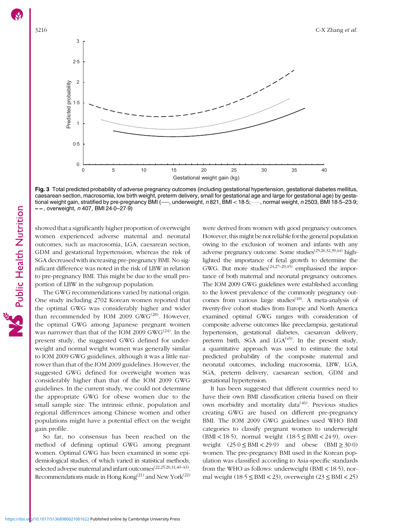<span id="page-6-0"></span>

Fig. 3 Total predicted probability of adverse pregnancy outcomes (including gestational hypertension, gestational diabetes mellitus, caesarean section, macrosomia, low birth weight, preterm delivery, small for gestational age and large for gestational age) by gestational weight gain, stratified by pre-pregnancy BMI (-, underweight, n 821, BMI < 18.5; -, normal weight, n 2503, BMI 18-5-23.9;  $--$ , overweight, n 407, BMI 24 $-0-27.9$ )

showed that a significantly higher proportion of overweight women experienced adverse maternal and neonatal outcomes, such as macrosomia, LGA, caesarean section, GDM and gestational hypertension, whereas the risk of SGA decreased with increasing pre-pregnancy BMI. No significant difference was noted in the risk of LBW in relation to pre-pregnancy BMI. This might be due to the small proportion of LBW in the subgroup population.

The GWG recommendations varied by national origin. One study including 2702 Korean women reported that the optimal GWG was considerably higher and wider than recommended by IOM 2009 GW $G^{(28)}$  $G^{(28)}$  $G^{(28)}$ . However, the optimal GWG among Japanese pregnant women was narrower than that of the IOM 2009  $GWG^{(24)}$  $GWG^{(24)}$  $GWG^{(24)}$ . In the present study, the suggested GWG defined for underweight and normal weight women was generally similar to IOM 2009 GWG guidelines, although it was a little narrower than that of the IOM 2009 guidelines. However, the suggested GWG defined for overweight women was considerably higher than that of the IOM 2009 GWG guidelines. In the current study, we could not determine the appropriate GWG for obese women due to the small sample size. The intrinsic ethnic, population and regional differences among Chinese women and other populations might have a potential effect on the weight gain profile.

So far, no consensus has been reached on the method of defining optimal GWG among pregnant women. Optimal GWG has been examined in some epidemiological studies, of which varied in statistical methods, selected adverse maternal and infant outcomes[\(22](#page-9-0)[,25,26,31,40](#page-10-0)–[43](#page-10-0)). Recommendations made in Hong Kong $(21)$  $(21)$  $(21)$  and New York $(22)$  $(22)$ 

were derived from women with good pregnancy outcomes. However, this might be not reliable for the general population owing to the exclusion of women and infants with any adverse pregnancy outcome. Some studies<sup>[\(25,26,32,39,44](#page-10-0))</sup> highlighted the importance of fetal growth to determine the GWG. But more studies<sup> $(24,27-29,45)$  $(24,27-29,45)$  $(24,27-29,45)$  $(24,27-29,45)$  $(24,27-29,45)$  $(24,27-29,45)$ </sup> emphasised the importance of both maternal and neonatal pregnancy outcomes. The IOM 2009 GWG guidelines were established according to the lowest prevalence of the commonly pregnancy outcomes from various large studies<sup> $(18)$ </sup>. A meta-analysis of twenty-five cohort studies from Europe and North America examined optimal GWG ranges with consideration of composite adverse outcomes like preeclampsia, gestational hypertension, gestational diabetes, caesarean delivery, preterm birth, SGA and  $LGA<sup>(45)</sup>$  $LGA<sup>(45)</sup>$  $LGA<sup>(45)</sup>$ . In the present study, a quantitative approach was used to estimate the total predicted probability of the composite maternal and neonatal outcomes, including macrosomia, LBW, LGA, SGA, preterm delivery, caesarean section, GDM and gestational hypertension.

It has been suggested that different countries need to have their own BMI classification criteria based on their own morbidity and mortality data<sup>[\(46\)](#page-10-0)</sup>. Previous studies creating GWG are based on different pre-pregnancy BMI. The IOM 2009 GWG guidelines used WHO BMI categories to classify pregnant women to underweight (BMI < 18.5), normal weight  $(18.5 \leq BMI < 24.9)$ , overweight  $(25.0 \leq BMI \leq 29.9)$  and obese  $(BMI \geq 30.0)$ women. The pre-pregnancy BMI used in the Korean population was classified according to Asia-specific standards from the WHO as follows: underweight (BMI < 18·5), normal weight  $(18.5 \leq BMI < 23)$ , overweight  $(23 \leq BMI < 25)$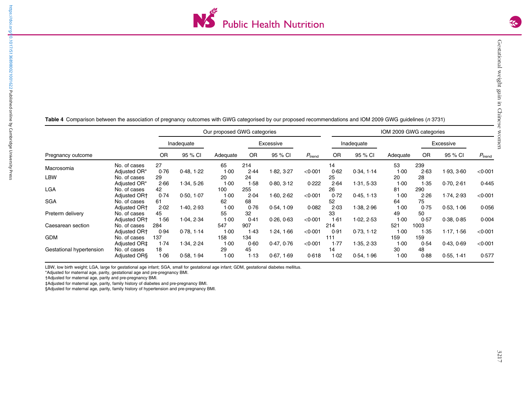

|                          |                          | Our proposed GWG categories |            |          |           |            |                    |            | IOM 2009 GWG categories |          |           |            |                 |  |
|--------------------------|--------------------------|-----------------------------|------------|----------|-----------|------------|--------------------|------------|-------------------------|----------|-----------|------------|-----------------|--|
| Pregnancy outcome        |                          | Inadequate                  |            |          | Excessive |            |                    | Inadequate |                         |          | Excessive |            |                 |  |
|                          |                          | <b>OR</b>                   | 95 % CI    | Adequate | <b>OR</b> | 95 % CI    | $P_{\text{trend}}$ | <b>OR</b>  | 95 % CI                 | Adequate | <b>OR</b> | 95 % CI    | $P_{\rm trend}$ |  |
| Macrosomia               | No. of cases             | 27                          |            | 65       | 214       |            |                    | 14         |                         | 53       | 239       |            |                 |  |
|                          | Adjusted OR*             | 0.76                        | 0.48, 1.22 | 1.00     | 2.44      | 1.82, 3.27 | < 0.001            | 0.62       | 0.34, 1.14              | 1.00     | 2.63      | 1.93, 3.60 | < 0.001         |  |
| <b>LBW</b>               | No. of cases             | 29                          |            | 20       | 24        |            |                    | 25         |                         | 20       | 28        |            |                 |  |
|                          | Adjusted OR*             | 2.66                        | 1.34, 5.26 | 1.00     | 1.58      | 0.80, 3.12 | 0.222              | 2.64       | 1.31, 5.33              | 1.00     | 1.35      | 0.70, 2.61 | 0.445           |  |
| <b>LGA</b>               | No. of cases             | 42                          |            | 100      | 255       |            |                    | 26         |                         | 81       | 290       |            |                 |  |
|                          | Adjusted OR <sup>+</sup> | 0.74                        | 0.50, 1.07 | 1.00     | 2.04      | 1.60, 2.62 | < 0.001            | 0.72       | 0.45, 1.13              | 1.00     | 2.26      | 1.74, 2.93 | < 0.001         |  |
| <b>SGA</b>               | No. of cases             | 61                          |            | 62       | 68        |            |                    | 52         |                         | 64       | 75        |            |                 |  |
|                          | Adjusted OR+             | 2.02                        | 1.40, 2.93 | 1.00     | 0.76      | 0.54, 1.09 | 0.082              | 2.03       | 1.38, 2.96              | 1.00     | 0.75      | 0.53, 1.06 | 0.056           |  |
| Preterm delivery         | No. of cases             | 45                          |            | 55       | 32        |            |                    | 33         |                         | 49       | 50        |            |                 |  |
|                          | Adjusted OR+             | 1.56                        | 1.04, 2.34 | 1.00     | 0.41      | 0.26, 0.63 | < 0.001            | 1.61       | 1.02, 2.53              | 1.00     | 0.57      | 0.38, 0.85 | 0.004           |  |
| Caesarean section        | No. of cases             | 284                         |            | 547      | 907       |            |                    | 214        |                         | 521      | 1003      |            |                 |  |
|                          | Adjusted OR+             | 0.94                        | 0.78, 1.14 | 1.00     | 1.43      | 1.24, 1.66 | < 0.001            | 0.91       | 0.73, 1.12              | 1.00     | 1.35      | 1.17, 1.56 | < 0.001         |  |
| <b>GDM</b>               | No. of cases             | 137                         |            | 158      | 134       |            |                    | 111        |                         | 159      | 159       |            |                 |  |
|                          | Adjusted OR‡             | 1.74                        | 1.34, 2.24 | 1.00     | 0.60      | 0.47, 0.76 | < 0.001            | 1.77       | 1.35, 2.33              | 1.00     | 0.54      | 0.43, 0.69 | < 0.001         |  |
| Gestational hypertension | No. of cases             | 18                          |            | 29       | 45        |            |                    | 14         |                         | 30       | 48        |            |                 |  |
|                          | Adjusted ORS             | 1.06                        | 0.58, 1.94 | 1.00     | 1.13      | 0.67, 1.69 | 0.618              | 1.02       | 0.54, 1.96              | 1.00     | 0.88      | 0.55, 1.41 | 0.577           |  |

<span id="page-7-0"></span>Table 4 Comparison between the association of pregnancy outcomes with GWG categorised by our proposed recommendations and IOM 2009 GWG guidelines (n 3731)

LBW, low birth weight; LGA, large for gestational age infant; SGA, small for gestational age infant; GDM, gestational diabetes mellitus.

\*Adjusted for maternal age, parity, gestational age and pre-pregnancy BMI. †Adjusted for maternal age, parity and pre-pregnancy BMI.

‡Adjusted for maternal age, parity, family history of diabetes and pre-pregnancy BMI.

§Adjusted for maternal age, parity, family history of hypertension and pre-pregnancy BMI.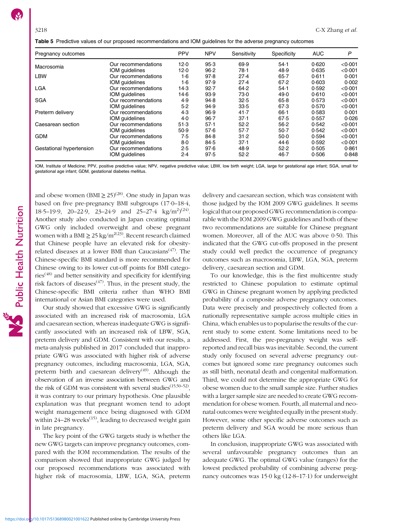<span id="page-8-0"></span>Table 5 Predictive values of our proposed recommendations and IOM guidelines for the adverse pregnancy outcomes

| Pregnancy outcomes       |                     | <b>PPV</b> | <b>NPV</b> | Sensitivity | Specificity | <b>AUC</b> | P       |
|--------------------------|---------------------|------------|------------|-------------|-------------|------------|---------|
| Macrosomia               | Our recommendations | 12.0       | 95.3       | 69.9        | 54.1        | 0.620      | < 0.001 |
|                          | IOM quidelines      | 12.0       | 96.2       | 78.1        | 48.9        | 0.635      | < 0.001 |
| <b>LBW</b>               | Our recommendations | 1.6        | 97.8       | 27.4        | $65 - 7$    | 0.611      | 0.001   |
|                          | IOM quidelines      | 1·6        | 97.9       | 27.4        | 67.2        | 0.603      | 0.002   |
| <b>LGA</b>               | Our recommendations | 14.3       | 92.7       | 64.2        | 54.1        | 0.592      | < 0.001 |
|                          | IOM quidelines      | $14-6$     | 93.9       | 73.0        | 49.0        | 0.610      | < 0.001 |
| <b>SGA</b>               | Our recommendations | 4.9        | 94.8       | 32.5        | 65.8        | 0.573      | < 0.001 |
|                          | IOM quidelines      | 5.2        | 94.9       | 33.5        | 67.3        | 0.570      | < 0.001 |
| Preterm delivery         | Our recommendations | 4.3        | 96.9       | 41.7        | $66-1$      | 0.583      | 0.001   |
|                          | IOM quidelines      | 4.0        | $96 - 7$   | 37.1        | 67.5        | 0.557      | 0.026   |
| Caesarean section        | Our recommendations | 51.3       | 57.1       | 52.2        | 56.2        | 0.542      | < 0.001 |
|                          | IOM quidelines      | 50.9       | 57.6       | 57.7        | $50-7$      | 0.542      | < 0.001 |
| <b>GDM</b>               | Our recommendations | 7.5        | 84.8       | 31.2        | 50.0        | 0.594      | < 0.001 |
|                          | IOM quidelines      | 8.0        | 84.5       | 37.1        | 44.6        | 0.592      | < 0.001 |
| Gestational hypertension | Our recommendations | 2.5        | 97.6       | 48.9        | 52.2        | 0.505      | 0.861   |
|                          | IOM guidelines      | 2.4        | 97.5       | 52.2        | $46 - 7$    | 0.506      | 0.848   |

IOM, Institute of Medicine; PPV, positive predictive value; NPV, negative predictive value; LBW, low birth weight; LGA, large for gestational age infant; SGA, small for gestational age infant; GDM, gestational diabetes mellitus.

and obese women (BMI  $\geq$  25)<sup>[\(28\)](#page-10-0)</sup>. One study in Japan was based on five pre-pregnancy BMI subgroups (17·0–18·4, 18.5–19.9, 20–22.9, 23–24.9 and 25–27.4 kg/m<sup>2</sup>)<sup>[\(24](#page-10-0))</sup>. Another study also conducted in Japan creating optimal GWG only included overweight and obese pregnant women with a BMI  $\geq$  25 kg/m<sup>2([23](#page-9-0))</sup>. Recent research claimed that Chinese people have an elevated risk for obesity-related diseases at a lower BMI than Caucasians<sup>[\(47\)](#page-10-0)</sup>. The Chinese-specific BMI standard is more recommended for Chinese owing to its lower cut-off points for BMI catego- $\text{ries}^{(48)}$  $\text{ries}^{(48)}$  $\text{ries}^{(48)}$  and better sensitivity and specificity for identifying risk factors of diseases<sup> $(47)$ </sup>. Thus, in the present study, the Chinese-specific BMI criteria rather than WHO BMI international or Asian BMI categories were used.

Our study showed that excessive GWG is significantly associated with an increased risk of macrosomia, LGA and caesarean section, whereas inadequate GWG is significantly associated with an increased risk of LBW, SGA, preterm delivery and GDM. Consistent with our results, a meta-analysis published in 2017 concluded that inappropriate GWG was associated with higher risk of adverse pregnancy outcomes, including macrosomia, LGA, SGA, preterm birth and caesarean delivery<sup>[\(49\)](#page-10-0)</sup>. Although the observation of an inverse association between GWG and the risk of GDM was consistent with several studies<sup>[\(15](#page-9-0)[,50](#page-10-0)–[52](#page-10-0))</sup>, it was contrary to our primary hypothesis. One plausible explanation was that pregnant women tend to adopt weight management once being diagnosed with GDM within  $24-28$  weeks<sup>([15\)](#page-9-0)</sup>, leading to decreased weight gain in late pregnancy.

The key point of the GWG targets study is whether the new GWG targets can improve pregnancy outcomes, compared with the IOM recommendation. The results of the comparison showed that inappropriate GWG judged by our proposed recommendations was associated with higher risk of macrosomia, LBW, LGA, SGA, preterm

delivery and caesarean section, which was consistent with those judged by the IOM 2009 GWG guidelines. It seems logical that our proposed GWG recommendation is comparable with the IOM 2009 GWG guidelines and both of these two recommendations are suitable for Chinese pregnant women. Moreover, all of the AUC was above 0·50. This indicated that the GWG cut-offs proposed in the present study could well predict the occurrence of pregnancy outcomes such as macrosomia, LBW, LGA, SGA, preterm delivery, caesarean section and GDM.

To our knowledge, this is the first multicentre study restricted to Chinese population to estimate optimal GWG in Chinese pregnant women by applying predicted probability of a composite adverse pregnancy outcomes. Data were precisely and prospectively collected from a nationally representative sample across multiple cities in China, which enables us to popularise the results of the current study to some extent. Some limitations need to be addressed. First, the pre-pregnancy weight was selfreported and recall bias was inevitable. Second, the current study only focused on several adverse pregnancy outcomes but ignored some rare pregnancy outcomes such as still birth, neonatal death and congenital malformation. Third, we could not determine the appropriate GWG for obese women due to the small sample size. Further studies with a larger sample size are needed to create GWG recommendation for obese women. Fourth, all maternal and neonatal outcomes were weighted equally in the present study. However, some other specific adverse outcomes such as preterm delivery and SGA would be more serious than others like LGA.

In conclusion, inappropriate GWG was associated with several unfavourable pregnancy outcomes than an adequate GWG. The optimal GWG value (ranges) for the lowest predicted probability of combining adverse pregnancy outcomes was 15·0 kg (12·8–17·1) for underweight

Public Health Nutrition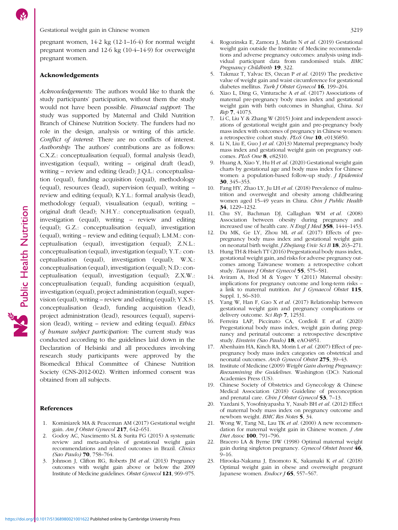Public Health Nutrition

<span id="page-9-0"></span>pregnant women, 14·2 kg (12·1–16·4) for normal weight pregnant women and 12·6 kg (10·4–14·9) for overweight pregnant women.

### Acknowledgements

Acknowledgements: The authors would like to thank the study participants' participation, without them the study would not have been possible. Financial support: The study was supported by Maternal and Child Nutrition Branch of Chinese Nutrition Society. The funders had no role in the design, analysis or writing of this article. Conflict of interest: There are no conflicts of interest. Authorship: The authors' contributions are as follows: C.X.Z.: conceptualisation (equal), formal analysis (lead), investigation (equal), writing – original draft (lead), writing – review and editing (lead); J.Q.L.: conceptualisation (equal), funding acquisition (equal), methodology (equal), resources (lead), supervision (equal), writing – review and editing (equal); K.Y.L.: formal analysis (lead), methodology (equal), visualisation (equal), writing – original draft (lead); N.H.Y.: conceptualisation (equal), investigation (equal), writing – review and editing (equal); G.Z.: conceptualisation (equal), investigation (equal), writing – review and editing (equal); L.M.M.: conceptualisation (equal), investigation (equal); Z.N.L.: conceptualisation (equal), investigation (equal); Y.T.: conceptualisation (equal), investigation (equal); W.X.: conceptualisation (equal), investigation (equal); N.D.: conceptualisation (equal), investigation (equal); Z.X.W.: conceptualisation (equal), funding acquisition (equal), investigation (equal), project administration (equal), supervision (equal), writing – review and editing (equal); Y.X.S.: conceptualisation (lead), funding acquisition (lead), project administration (lead), resources (equal), supervision (lead), writing – review and editing (equal). Ethics of human subject participation: The current study was conducted according to the guidelines laid down in the Declaration of Helsinki and all procedures involving research study participants were approved by the Biomedical Ethical Committee of Chinese Nutrition Society (CNS-2012-002). Written informed consent was obtained from all subjects.

# References

- 1. Kominiarek MA & Peaceman AM (2017) Gestational weight gain. Am J Obstet Gynecol 217, 642–651.
- 2. Godoy AC, Nascimento SL & Surita FG (2015) A systematic review and meta-analysis of gestational weight gain recommendations and related outcomes in Brazil. Clinics (Sao Paulo) 70, 758–764.
- 3. Johnson J, Clifton RG, Roberts JM et al. (2013) Pregnancy outcomes with weight gain above or below the 2009 Institute of Medicine guidelines. Obstet Gynecol 121, 969–975.
- 4. Rogozinska E, Zamora J, Marlin N et al. (2019) Gestational weight gain outside the Institute of Medicine recommendations and adverse pregnancy outcomes: analysis using individual participant data from randomised trials. BMC Pregnancy Childbirth 19, 322.
- 5. Takmaz T, Yalvac ES, Ozcan P et al. (2019) The predictive value of weight gain and waist circumference for gestational diabetes mellitus. Turk J Obstet Gynecol 16, 199-204.
- 6. Xiao L, Ding G, Vinturache A et al. (2017) Associations of maternal pre-pregnancy body mass index and gestational weight gain with birth outcomes in Shanghai, China. Sci Rep 7, 41073.
- 7. Li C, Liu Y & Zhang W (2015) Joint and independent associations of gestational weight gain and pre-pregnancy body mass index with outcomes of pregnancy in Chinese women: a retrospective cohort study. PLoS One 10, e0136850.
- 8. Li N, Liu E, Guo J et al. (2013) Maternal prepregnancy body mass index and gestational weight gain on pregnancy outcomes. PLoS One 8, e82310.
- 9. Huang A, Xiao Y, Hu H et al. (2020) Gestational weight gain charts by gestational age and body mass index for Chinese women: a population-based follow-up study. *J Epidemiol* 30, 345–353.
- 10. Fang HY, Zhao LY, Ju LH et al. (2018) Prevalence of malnutrition and overweight and obesity among childbearing women aged 15–49 years in China. Chin J Public Health 34, 1229–1232.
- 11. Chu SY, Bachman DJ, Callaghan WM et al. (2008) Association between obesity during pregnancy and increased use of health care. N Engl J Med 358, 1444-1453.
- 12. Du MK, Ge LY, Zhou ML et al. (2017) Effects of prepregnancy body mass index and gestational weight gain on neonatal birth weight. *J Zhejiang Univ Sci B* 18, 263–271.
- 13. Hung TH & Hsieh TT (2016) Pregestational body mass index, gestational weight gain, and risks for adverse pregnancy outcomes among Taiwanese women: a retrospective cohort study. Taiwan J Obstet Gynecol 55, 575-581.
- 14. Aviram A, Hod M & Yogev Y (2011) Maternal obesity: implications for pregnancy outcome and long-term risks – a link to maternal nutrition. Int J Gynaecol Obstet 115, Suppl. 1, S6–S10.
- 15. Yang W, Han F, Gao X et al. (2017) Relationship between gestational weight gain and pregnancy complications or delivery outcome. Sci Rep 7, 12531.
- 16. Ferreira LAP, Piccinato CA, Cordioli E et al. (2020) Pregestational body mass index, weight gain during pregnancy and perinatal outcome: a retrospective descriptive study. Einstein (Sao Paulo) 18, eAO4851.
- 17. Abenhaim HA, Kinch RA, Morin L et al. (2007) Effect of prepregnancy body mass index categories on obstetrical and neonatal outcomes. Arch Gynecol Obstet 275, 39–43.
- 18. Institute of Medicine (2009) Weight Gain during Pregnancy: Reexamining the Guidelines. Washington (DC): National Academies Press (US).
- 19. Chinese Society of Obstetrics and Gynecology & Chinese Medical Association (2018) Guideline of preconception and prenatal care. *Chin J Obstet Gynecol* 53, 7-13.
- 20. Yazdani S, Yosofniyapasha Y, Nasab BH et al. (2012) Effect of maternal body mass index on pregnancy outcome and newborn weight. BMC Res Notes 5, 34.
- 21. Wong W, Tang NL, Lau TK et al. (2000) A new recommendation for maternal weight gain in Chinese women.  $JAm$ Diet Assoc 100, 791-796.
- 22. Bracero LA & Byrne DW (1998) Optimal maternal weight gain during singleton pregnancy. Gynecol Obstet Invest 46,  $9 - 16$
- 23. Hirooka-Nakama J, Enomoto K, Sakamaki K et al. (2018) Optimal weight gain in obese and overweight pregnant Japanese women. Endocr  $J$  65, 557–567.